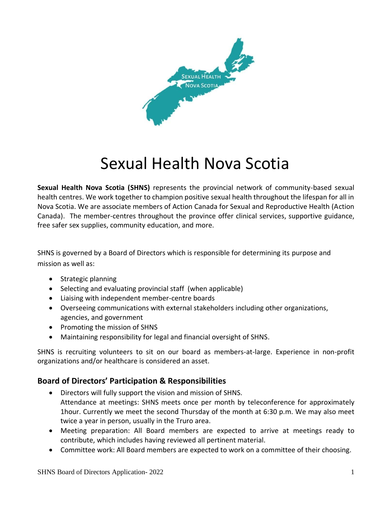

## Sexual Health Nova Scotia

**Sexual Health Nova Scotia (SHNS)** represents the provincial network of community-based sexual health centres. We work together to champion positive sexual health throughout the lifespan for all in Nova Scotia. We are associate members of Action Canada for Sexual and Reproductive Health (Action Canada). The member-centres throughout the province offer clinical services, supportive guidance, free safer sex supplies, community education, and more.

SHNS is governed by a Board of Directors which is responsible for determining its purpose and mission as well as:

- Strategic planning
- Selecting and evaluating provincial staff (when applicable)
- Liaising with independent member-centre boards
- Overseeing communications with external stakeholders including other organizations, agencies, and government
- Promoting the mission of SHNS
- Maintaining responsibility for legal and financial oversight of SHNS.

SHNS is recruiting volunteers to sit on our board as members-at-large. Experience in non-profit organizations and/or healthcare is considered an asset.

## **Board of Directors' Participation & Responsibilities**

- Directors will fully support the vision and mission of SHNS. Attendance at meetings: SHNS meets once per month by teleconference for approximately 1hour. Currently we meet the second Thursday of the month at 6:30 p.m. We may also meet twice a year in person, usually in the Truro area.
- Meeting preparation: All Board members are expected to arrive at meetings ready to contribute, which includes having reviewed all pertinent material.
- Committee work: All Board members are expected to work on a committee of their choosing.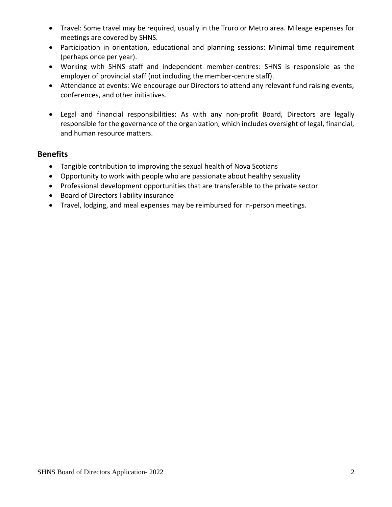- Travel: Some travel may be required, usually in the Truro or Metro area. Mileage expenses for meetings are covered by SHNS.
- Participation in orientation, educational and planning sessions: Minimal time requirement (perhaps once per year).
- Working with SHNS staff and independent member-centres: SHNS is responsible as the employer of provincial staff (not including the member-centre staff).
- Attendance at events: We encourage our Directors to attend any relevant fund raising events, conferences, and other initiatives.
- Legal and financial responsibilities: As with any non-profit Board, Directors are legally responsible for the governance of the organization, which includes oversight of legal, financial, and human resource matters.

## **Benefits**

- Tangible contribution to improving the sexual health of Nova Scotians
- Opportunity to work with people who are passionate about healthy sexuality
- Professional development opportunities that are transferable to the private sector
- Board of Directors liability insurance
- Travel, lodging, and meal expenses may be reimbursed for in-person meetings.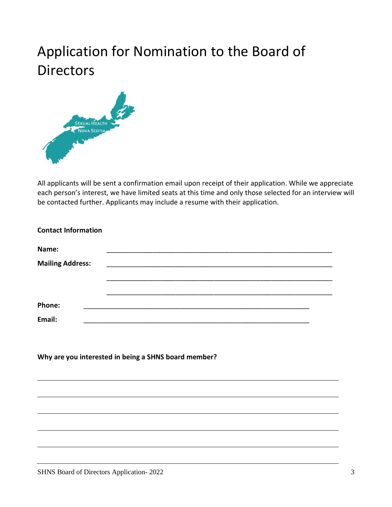## Application for Nomination to the Board of **Directors**



All applicants will be sent a confirmation email upon receipt of their application. While we appreciate each person's interest, we have limited seats at this time and only those selected for an interview will be contacted further. Applicants may include a resume with their application.

| <b>Contact Information</b>                           |                                                     |  |  |
|------------------------------------------------------|-----------------------------------------------------|--|--|
| Name:                                                | <u> 1980 - Johann Barbara, martxa alemaniar arg</u> |  |  |
| <b>Mailing Address:</b>                              |                                                     |  |  |
|                                                      |                                                     |  |  |
| Phone:                                               |                                                     |  |  |
| Email:                                               |                                                     |  |  |
|                                                      |                                                     |  |  |
| Why are you interested in being a SHNS board member? |                                                     |  |  |
|                                                      |                                                     |  |  |
|                                                      |                                                     |  |  |
|                                                      |                                                     |  |  |
|                                                      |                                                     |  |  |
|                                                      |                                                     |  |  |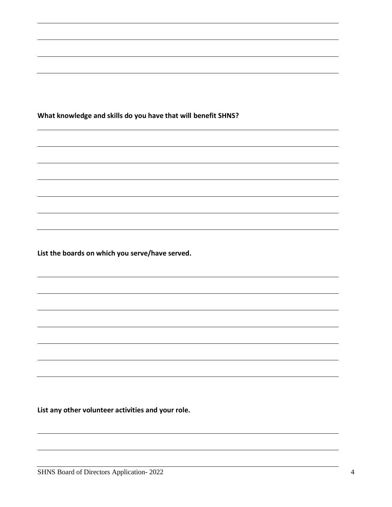**What knowledge and skills do you have that will benefit SHNS?**

**List the boards on which you serve/have served.**

**List any other volunteer activities and your role.**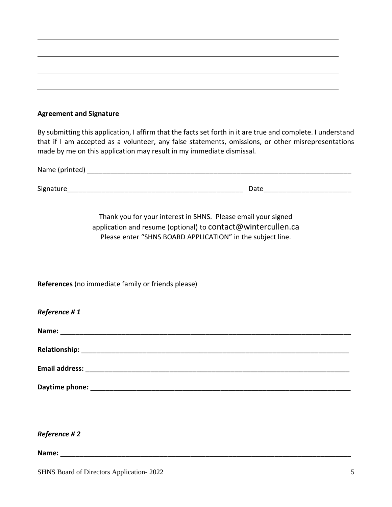| <b>Agreement and Signature</b> |  |  |
|--------------------------------|--|--|
|--------------------------------|--|--|

By submitting this application, I affirm that the facts set forth in it are true and complete. I understand that if I am accepted as a volunteer, any false statements, omissions, or other misrepresentations made by me on this application may result in my immediate dismissal.

| Name (printed) |      |  |
|----------------|------|--|
|                |      |  |
| Signature      | Date |  |

Thank you for your interest in SHNS. Please email your signed application and resume (optional) to contact@wintercullen.ca Please enter "SHNS BOARD APPLICATION" in the subject line.

**References** (no immediate family or friends please)

*Reference # 1*

| Name: |  | _____________________ | ________________ |
|-------|--|-----------------------|------------------|
|       |  |                       |                  |

**Relationship:** \_\_\_\_\_\_\_\_\_\_\_\_\_\_\_\_\_\_\_\_\_\_\_\_\_\_\_\_\_\_\_\_\_\_\_\_\_\_\_\_\_\_\_\_\_\_\_\_\_\_\_\_\_\_\_\_\_\_\_\_\_\_\_\_\_\_\_\_\_\_

**Email address:** \_\_\_\_\_\_\_\_\_\_\_\_\_\_\_\_\_\_\_\_\_\_\_\_\_\_\_\_\_\_\_\_\_\_\_\_\_\_\_\_\_\_\_\_\_\_\_\_\_\_\_\_\_\_\_\_\_\_\_\_\_\_\_\_\_\_\_\_\_

**Daytime phone:** \_\_\_\_\_\_\_\_\_\_\_\_\_\_\_\_\_\_\_\_\_\_\_\_\_\_\_\_\_\_\_\_\_\_\_\_\_\_\_\_\_\_\_\_\_\_\_\_\_\_\_\_\_\_\_\_\_\_\_\_\_\_\_\_\_\_\_\_

*Reference # 2*

**Name:** <u>and</u> *n n n n n n n n n n n n n n n n n n n n n n n n n n n n n n n n n n n*